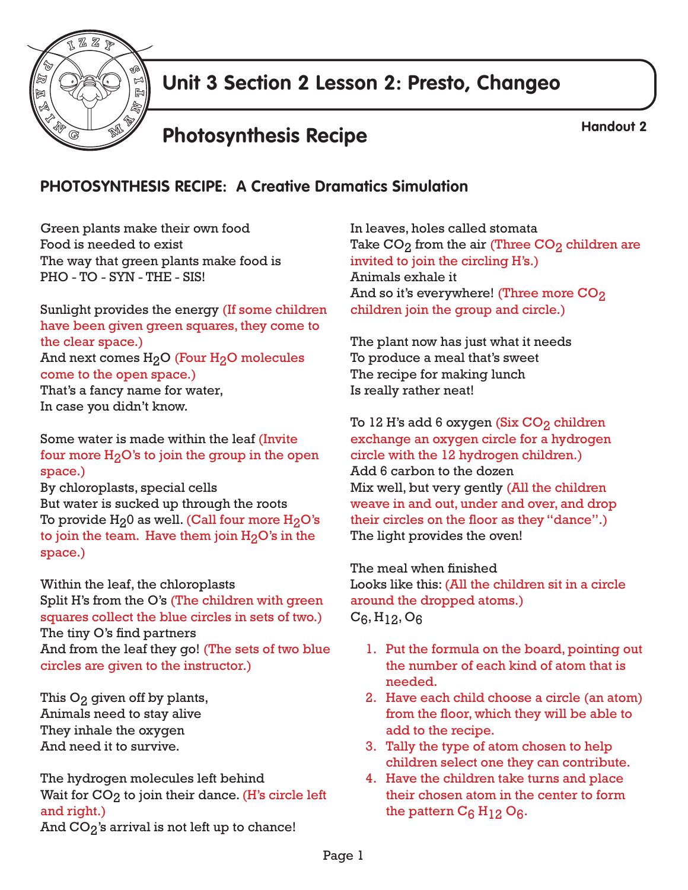

## **Unit 3 Section 2 Lesson 2: Presto, Changeo**

# **Photosynthesis Recipe Handout 2**

#### **PHOTOSYNTHESIS RECIPE: A Creative Dramatics Simulation**

Green plants make their own food Food is needed to exist The way that green plants make food is PHO - TO - SYN - THE - SIS!

Sunlight provides the energy (If some children have been given green squares, they come to the clear space.) And next comes  $H<sub>2</sub>O$  (Four  $H<sub>2</sub>O$  molecules come to the open space.) That's a fancy name for water, In case you didn't know.

Some water is made within the leaf (Invite four more  $H<sub>2</sub>O$ 's to join the group in the open space.)

By chloroplasts, special cells But water is sucked up through the roots To provide  $H_20$  as well. (Call four more  $H_2O$ 's to join the team. Have them join  $H<sub>2</sub>O<sup>2</sup>$  in the space.)

Within the leaf, the chloroplasts Split H's from the O's (The children with green squares collect the blue circles in sets of two.) The tiny O's find partners And from the leaf they go! (The sets of two blue circles are given to the instructor.)

This O<sub>2</sub> given off by plants, Animals need to stay alive They inhale the oxygen And need it to survive.

The hydrogen molecules left behind Wait for  $CO<sub>2</sub>$  to join their dance. (H's circle left and right.) And  $CO_2$ 's arrival is not left up to chance!

In leaves, holes called stomata Take  $\mathrm{CO}_2$  from the air (Three  $\mathrm{CO}_2$  children are invited to join the circling H's.) Animals exhale it And so it's everywhere! (Three more  $\rm{CO}_2$ children join the group and circle.)

The plant now has just what it needs To produce a meal that's sweet The recipe for making lunch Is really rather neat!

To 12 H's add 6 oxygen (Six CO<sub>2</sub> children exchange an oxygen circle for a hydrogen circle with the 12 hydrogen children.) Add 6 carbon to the dozen Mix well, but very gently (All the children weave in and out, under and over, and drop their circles on the floor as they "dance".) The light provides the oven!

The meal when finished Looks like this: (All the children sit in a circle around the dropped atoms.)  $C_6$ , H<sub>12</sub>, O<sub>6</sub>

- 1. Put the formula on the board, pointing out the number of each kind of atom that is needed.
- 2. Have each child choose a circle (an atom) from the floor, which they will be able to add to the recipe.
- 3. Tally the type of atom chosen to help children select one they can contribute.
- 4. Have the children take turns and place their chosen atom in the center to form the pattern  $C_6$  H<sub>12</sub> O<sub>6</sub>.